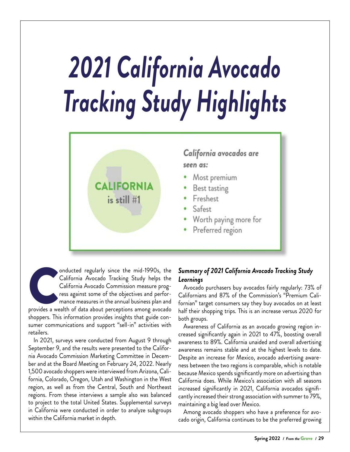## *2021 California Avocado Tracking Study Highlights*



onducted regularly since the mid-1990s, the California Avocado Tracking Study helps the California Avocado Commission measure progress against some of the objectives and performance measures in the annual business plan and California Avocado Tracking Study helps the California Avocado Commission measure progress against some of the objectives and performance measures in the annual business plan and shoppers. This information provides insights that guide consumer communications and support "sell-in" activities with retailers.

In 2021, surveys were conducted from August 9 through September 9, and the results were presented to the California Avocado Commission Marketing Committee in December and at the Board Meeting on February 24, 2022. Nearly 1,500 avocado shoppers were interviewed from Arizona, California, Colorado, Oregon, Utah and Washington in the West region, as well as from the Central, South and Northeast regions. From these interviews a sample also was balanced to project to the total United States. Supplemental surveys in California were conducted in order to analyze subgroups within the California market in depth.

## *Summary of 2021 California Avocado Tracking Study Learnings*

Avocado purchasers buy avocados fairly regularly: 73% of Californians and 87% of the Commission's "Premium Californian" target consumers say they buy avocados on at least half their shopping trips. This is an increase versus 2020 for both groups.

Awareness of California as an avocado growing region increased significantly again in 2021 to 47%, boosting overall awareness to 89%. California unaided and overall advertising awareness remains stable and at the highest levels to date. Despite an increase for Mexico, avocado advertising awareness between the two regions is comparable, which is notable because Mexico spends significantly more on advertising than California does. While Mexico's association with all seasons increased significantly in 2021, California avocados significantly increased their strong association with summer to 79%, maintaining a big lead over Mexico.

Among avocado shoppers who have a preference for avocado origin, California continues to be the preferred growing